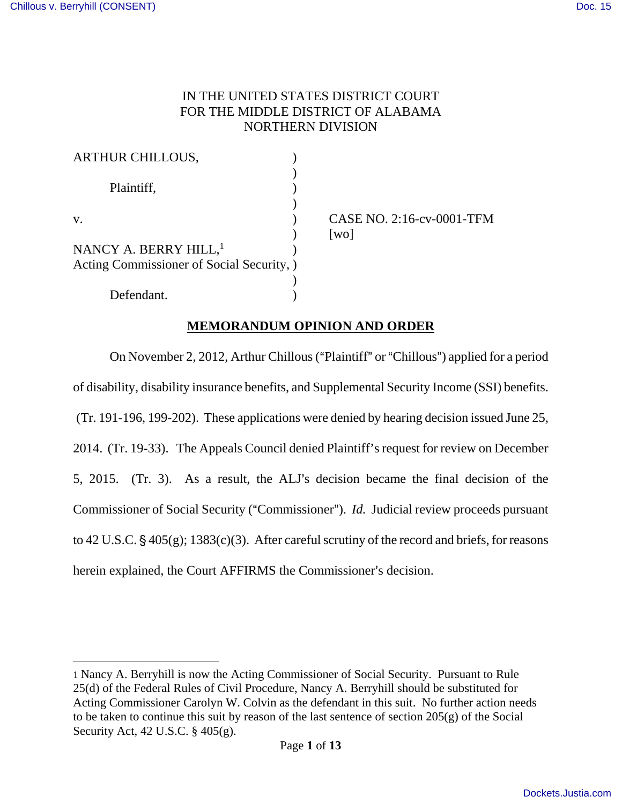$\overline{a}$ 

# IN THE UNITED STATES DISTRICT COURT FOR THE MIDDLE DISTRICT OF ALABAMA NORTHERN DIVISION

| <b>ARTHUR CHILLOUS,</b>                   |                                                   |
|-------------------------------------------|---------------------------------------------------|
| Plaintiff,                                |                                                   |
| V.                                        | CASE NO. 2:16-cv-0001-TFM<br>$\lceil$ WO $\rceil$ |
| NANCY A. BERRY HILL, <sup>1</sup>         |                                                   |
| Acting Commissioner of Social Security, ) |                                                   |
|                                           |                                                   |
| Defendant.                                |                                                   |

# **MEMORANDUM OPINION AND ORDER**

On November 2, 2012, Arthur Chillous ("Plaintiff" or "Chillous") applied for a period of disability, disability insurance benefits, and Supplemental Security Income (SSI) benefits. (Tr. 191-196, 199-202). These applications were denied by hearing decision issued June 25, 2014. (Tr. 19-33). The Appeals Council denied Plaintiff's request for review on December 5, 2015. (Tr. 3). As a result, the ALJ's decision became the final decision of the Commissioner of Social Security ("Commissioner"). *Id.* Judicial review proceeds pursuant to 42 U.S.C.  $\S$  405(g); 1383(c)(3). After careful scrutiny of the record and briefs, for reasons herein explained, the Court AFFIRMS the Commissioner's decision.

<sup>1</sup> Nancy A. Berryhill is now the Acting Commissioner of Social Security. Pursuant to Rule 25(d) of the Federal Rules of Civil Procedure, Nancy A. Berryhill should be substituted for Acting Commissioner Carolyn W. Colvin as the defendant in this suit. No further action needs to be taken to continue this suit by reason of the last sentence of section  $205(g)$  of the Social Security Act, 42 U.S.C. § 405(g).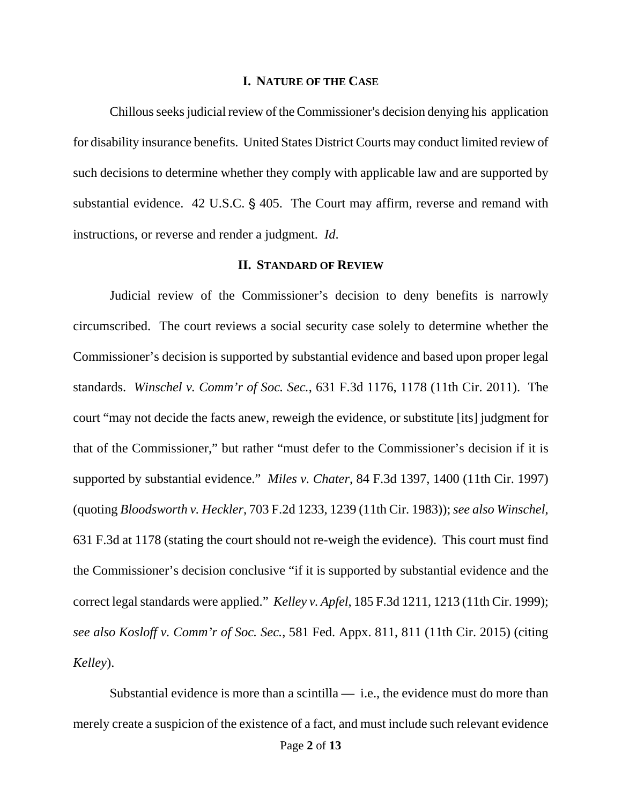#### **I. NATURE OF THE CASE**

Chillous seeks judicial review of the Commissioner's decision denying his application for disability insurance benefits. United States District Courts may conduct limited review of such decisions to determine whether they comply with applicable law and are supported by substantial evidence.  $42$  U.S.C. §  $405$ . The Court may affirm, reverse and remand with instructions, or reverse and render a judgment. *Id*.

### **II. STANDARD OF REVIEW**

Judicial review of the Commissioner's decision to deny benefits is narrowly circumscribed. The court reviews a social security case solely to determine whether the Commissioner's decision is supported by substantial evidence and based upon proper legal standards. *Winschel v. Comm'r of Soc. Sec.*, 631 F.3d 1176, 1178 (11th Cir. 2011). The court "may not decide the facts anew, reweigh the evidence, or substitute [its] judgment for that of the Commissioner," but rather "must defer to the Commissioner's decision if it is supported by substantial evidence." *Miles v. Chater*, 84 F.3d 1397, 1400 (11th Cir. 1997) (quoting *Bloodsworth v. Heckler*, 703 F.2d 1233, 1239 (11th Cir. 1983)); *see also Winschel*, 631 F.3d at 1178 (stating the court should not re-weigh the evidence). This court must find the Commissioner's decision conclusive "if it is supported by substantial evidence and the correct legal standards were applied." *Kelley v. Apfel*, 185 F.3d 1211, 1213 (11th Cir. 1999); *see also Kosloff v. Comm'r of Soc. Sec.*, 581 Fed. Appx. 811, 811 (11th Cir. 2015) (citing *Kelley*).

Substantial evidence is more than a scintilla  $-$  i.e., the evidence must do more than merely create a suspicion of the existence of a fact, and must include such relevant evidence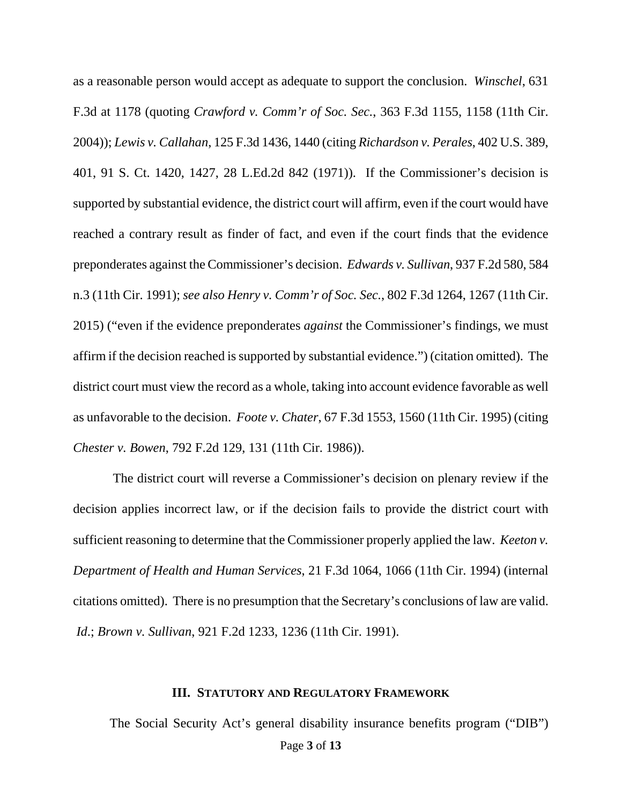as a reasonable person would accept as adequate to support the conclusion. *Winschel*, 631 F.3d at 1178 (quoting *Crawford v. Comm'r of Soc. Sec.*, 363 F.3d 1155, 1158 (11th Cir. 2004)); *Lewis v. Callahan*, 125 F.3d 1436, 1440 (citing *Richardson v. Perales*, 402 U.S. 389, 401, 91 S. Ct. 1420, 1427, 28 L.Ed.2d 842 (1971)). If the Commissioner's decision is supported by substantial evidence, the district court will affirm, even if the court would have reached a contrary result as finder of fact, and even if the court finds that the evidence preponderates against the Commissioner's decision. *Edwards v. Sullivan*, 937 F.2d 580, 584 n.3 (11th Cir. 1991); *see also Henry v. Comm'r of Soc. Sec.*, 802 F.3d 1264, 1267 (11th Cir. 2015) ("even if the evidence preponderates *against* the Commissioner's findings, we must affirm if the decision reached is supported by substantial evidence.") (citation omitted). The district court must view the record as a whole, taking into account evidence favorable as well as unfavorable to the decision. *Foote v. Chater*, 67 F.3d 1553, 1560 (11th Cir. 1995) (citing *Chester v. Bowen*, 792 F.2d 129, 131 (11th Cir. 1986)).

 The district court will reverse a Commissioner's decision on plenary review if the decision applies incorrect law, or if the decision fails to provide the district court with sufficient reasoning to determine that the Commissioner properly applied the law. *Keeton v. Department of Health and Human Services*, 21 F.3d 1064, 1066 (11th Cir. 1994) (internal citations omitted). There is no presumption that the Secretary's conclusions of law are valid. *Id*.; *Brown v. Sullivan*, 921 F.2d 1233, 1236 (11th Cir. 1991).

### **III. STATUTORY AND REGULATORY FRAMEWORK**

Page **3** of **13** The Social Security Act's general disability insurance benefits program ("DIB")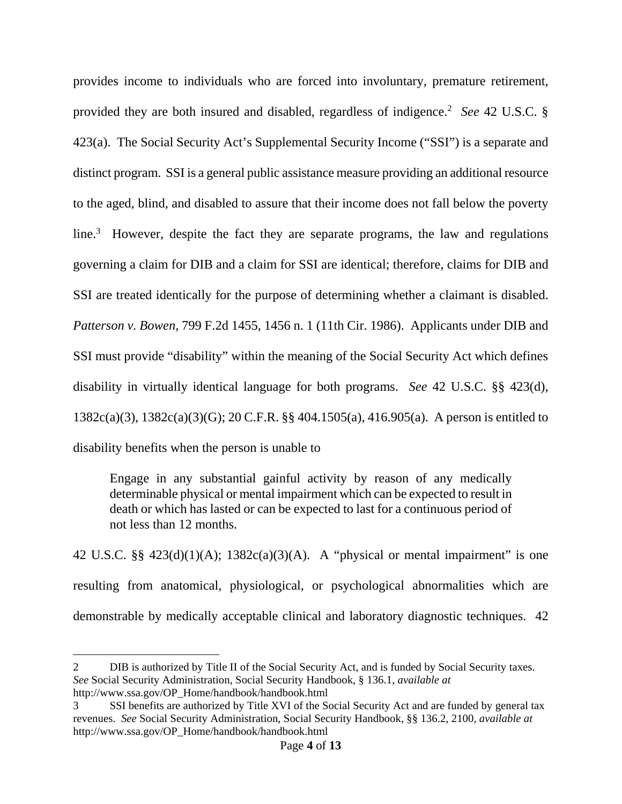provides income to individuals who are forced into involuntary, premature retirement, provided they are both insured and disabled, regardless of indigence.<sup>2</sup> See 42 U.S.C. § 423(a). The Social Security Act's Supplemental Security Income ("SSI") is a separate and distinct program. SSI is a general public assistance measure providing an additional resource to the aged, blind, and disabled to assure that their income does not fall below the poverty line.<sup>3</sup> However, despite the fact they are separate programs, the law and regulations governing a claim for DIB and a claim for SSI are identical; therefore, claims for DIB and SSI are treated identically for the purpose of determining whether a claimant is disabled. *Patterson v. Bowen*, 799 F.2d 1455, 1456 n. 1 (11th Cir. 1986). Applicants under DIB and SSI must provide "disability" within the meaning of the Social Security Act which defines disability in virtually identical language for both programs. *See* 42 U.S.C. §§ 423(d), 1382c(a)(3), 1382c(a)(3)(G); 20 C.F.R. §§ 404.1505(a), 416.905(a). A person is entitled to disability benefits when the person is unable to

Engage in any substantial gainful activity by reason of any medically determinable physical or mental impairment which can be expected to result in death or which has lasted or can be expected to last for a continuous period of not less than 12 months.

42 U.S.C. §§  $423(d)(1)(A)$ ; 1382 $c(a)(3)(A)$ . A "physical or mental impairment" is one resulting from anatomical, physiological, or psychological abnormalities which are demonstrable by medically acceptable clinical and laboratory diagnostic techniques. 42

<u>.</u>

<sup>2</sup> DIB is authorized by Title II of the Social Security Act, and is funded by Social Security taxes. *See* Social Security Administration, Social Security Handbook, § 136.1, *available at* http://www.ssa.gov/OP\_Home/handbook/handbook.html

<sup>3</sup> SSI benefits are authorized by Title XVI of the Social Security Act and are funded by general tax revenues. *See* Social Security Administration, Social Security Handbook, §§ 136.2, 2100, *available at* http://www.ssa.gov/OP\_Home/handbook/handbook.html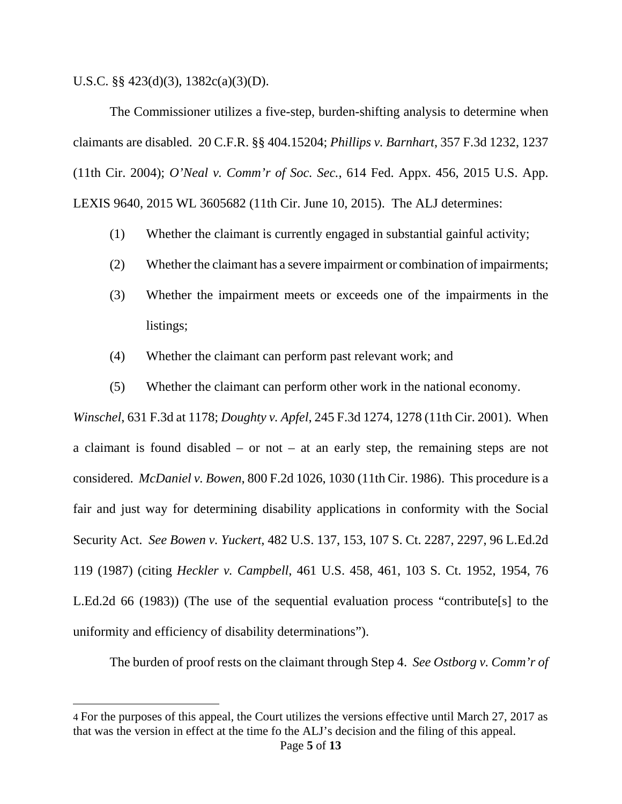U.S.C. §§ 423(d)(3), 1382c(a)(3)(D).

<u>.</u>

The Commissioner utilizes a five-step, burden-shifting analysis to determine when claimants are disabled. 20 C.F.R. §§ 404.15204; *Phillips v. Barnhart*, 357 F.3d 1232, 1237 (11th Cir. 2004); *O'Neal v. Comm'r of Soc. Sec.*, 614 Fed. Appx. 456, 2015 U.S. App. LEXIS 9640, 2015 WL 3605682 (11th Cir. June 10, 2015). The ALJ determines:

- (1) Whether the claimant is currently engaged in substantial gainful activity;
- (2) Whether the claimant has a severe impairment or combination of impairments;
- (3) Whether the impairment meets or exceeds one of the impairments in the listings;
- (4) Whether the claimant can perform past relevant work; and
- (5) Whether the claimant can perform other work in the national economy.

*Winschel*, 631 F.3d at 1178; *Doughty v. Apfel*, 245 F.3d 1274, 1278 (11th Cir. 2001). When a claimant is found disabled – or not – at an early step, the remaining steps are not considered. *McDaniel v. Bowen*, 800 F.2d 1026, 1030 (11th Cir. 1986). This procedure is a fair and just way for determining disability applications in conformity with the Social Security Act. *See Bowen v. Yuckert*, 482 U.S. 137, 153, 107 S. Ct. 2287, 2297, 96 L.Ed.2d 119 (1987) (citing *Heckler v. Campbell*, 461 U.S. 458, 461, 103 S. Ct. 1952, 1954, 76 L.Ed.2d 66 (1983)) (The use of the sequential evaluation process "contribute[s] to the uniformity and efficiency of disability determinations").

The burden of proof rests on the claimant through Step 4. *See Ostborg v. Comm'r of* 

<sup>4</sup> For the purposes of this appeal, the Court utilizes the versions effective until March 27, 2017 as that was the version in effect at the time fo the ALJ's decision and the filing of this appeal.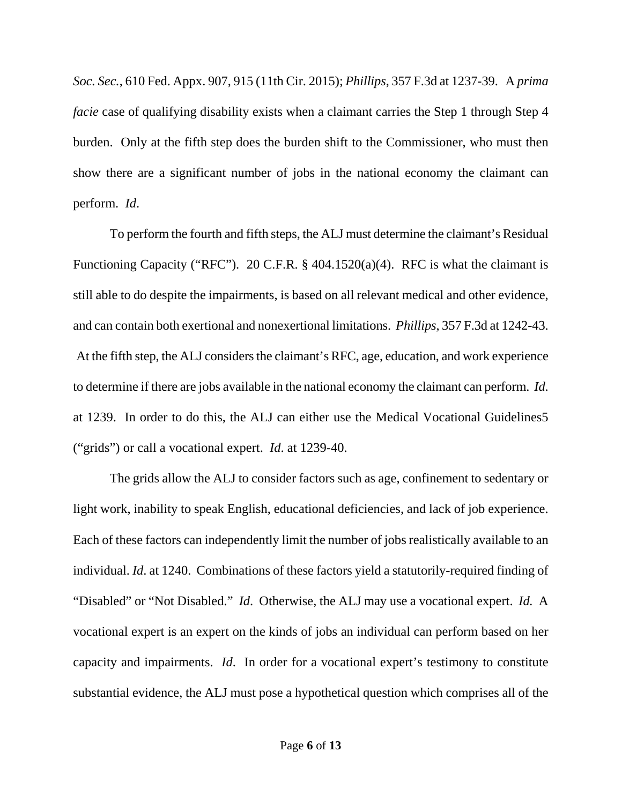*Soc. Sec.*, 610 Fed. Appx. 907, 915 (11th Cir. 2015); *Phillips*, 357 F.3d at 1237-39. A *prima facie* case of qualifying disability exists when a claimant carries the Step 1 through Step 4 burden. Only at the fifth step does the burden shift to the Commissioner, who must then show there are a significant number of jobs in the national economy the claimant can perform. *Id*.

 To perform the fourth and fifth steps, the ALJ must determine the claimant's Residual Functioning Capacity ("RFC"). 20 C.F.R. § 404.1520(a)(4). RFC is what the claimant is still able to do despite the impairments, is based on all relevant medical and other evidence, and can contain both exertional and nonexertional limitations. *Phillips*, 357 F.3d at 1242-43. At the fifth step, the ALJ considers the claimant's RFC, age, education, and work experience to determine if there are jobs available in the national economy the claimant can perform. *Id*. at 1239. In order to do this, the ALJ can either use the Medical Vocational Guidelines5 ("grids") or call a vocational expert. *Id*. at 1239-40.

 The grids allow the ALJ to consider factors such as age, confinement to sedentary or light work, inability to speak English, educational deficiencies, and lack of job experience. Each of these factors can independently limit the number of jobs realistically available to an individual. *Id*. at 1240. Combinations of these factors yield a statutorily-required finding of "Disabled" or "Not Disabled." *Id*. Otherwise, the ALJ may use a vocational expert. *Id.* A vocational expert is an expert on the kinds of jobs an individual can perform based on her capacity and impairments. *Id*. In order for a vocational expert's testimony to constitute substantial evidence, the ALJ must pose a hypothetical question which comprises all of the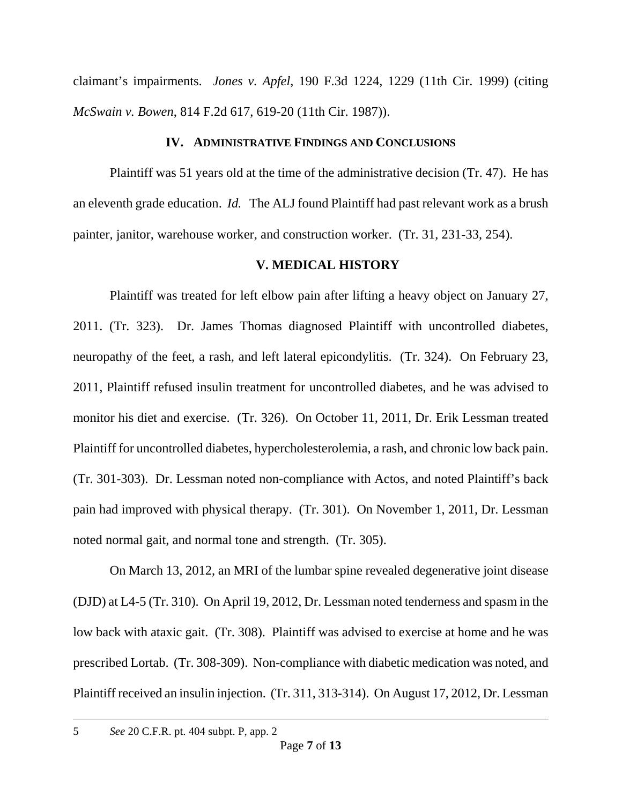claimant's impairments. *Jones v. Apfel*, 190 F.3d 1224, 1229 (11th Cir. 1999) (citing *McSwain v. Bowen*, 814 F.2d 617, 619-20 (11th Cir. 1987)).

## **IV. ADMINISTRATIVE FINDINGS AND CONCLUSIONS**

Plaintiff was 51 years old at the time of the administrative decision (Tr. 47). He has an eleventh grade education. *Id.* The ALJ found Plaintiff had past relevant work as a brush painter, janitor, warehouse worker, and construction worker. (Tr. 31, 231-33, 254).

## **V. MEDICAL HISTORY**

Plaintiff was treated for left elbow pain after lifting a heavy object on January 27, 2011. (Tr. 323). Dr. James Thomas diagnosed Plaintiff with uncontrolled diabetes, neuropathy of the feet, a rash, and left lateral epicondylitis. (Tr. 324). On February 23, 2011, Plaintiff refused insulin treatment for uncontrolled diabetes, and he was advised to monitor his diet and exercise. (Tr. 326). On October 11, 2011, Dr. Erik Lessman treated Plaintiff for uncontrolled diabetes, hypercholesterolemia, a rash, and chronic low back pain. (Tr. 301-303). Dr. Lessman noted non-compliance with Actos, and noted Plaintiff's back pain had improved with physical therapy. (Tr. 301). On November 1, 2011, Dr. Lessman noted normal gait, and normal tone and strength. (Tr. 305).

 On March 13, 2012, an MRI of the lumbar spine revealed degenerative joint disease (DJD) at L4-5 (Tr. 310). On April 19, 2012, Dr. Lessman noted tenderness and spasm in the low back with ataxic gait. (Tr. 308). Plaintiff was advised to exercise at home and he was prescribed Lortab. (Tr. 308-309). Non-compliance with diabetic medication was noted, and Plaintiff received an insulin injection. (Tr. 311, 313-314). On August 17, 2012, Dr. Lessman

-

<sup>5</sup> *See* 20 C.F.R. pt. 404 subpt. P, app. 2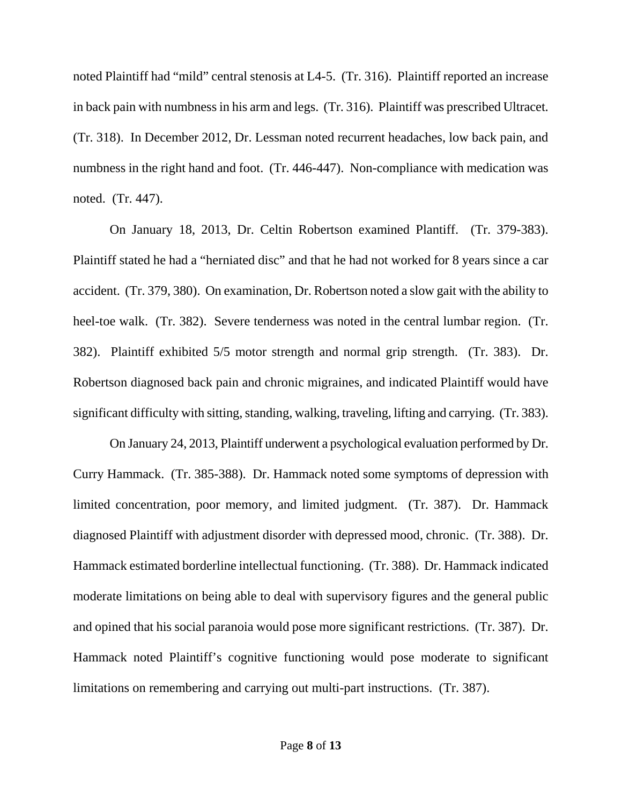noted Plaintiff had "mild" central stenosis at L4-5. (Tr. 316). Plaintiff reported an increase in back pain with numbness in his arm and legs. (Tr. 316). Plaintiff was prescribed Ultracet. (Tr. 318). In December 2012, Dr. Lessman noted recurrent headaches, low back pain, and numbness in the right hand and foot. (Tr. 446-447). Non-compliance with medication was noted. (Tr. 447).

 On January 18, 2013, Dr. Celtin Robertson examined Plantiff. (Tr. 379-383). Plaintiff stated he had a "herniated disc" and that he had not worked for 8 years since a car accident. (Tr. 379, 380). On examination, Dr. Robertson noted a slow gait with the ability to heel-toe walk. (Tr. 382). Severe tenderness was noted in the central lumbar region. (Tr. 382). Plaintiff exhibited 5/5 motor strength and normal grip strength. (Tr. 383). Dr. Robertson diagnosed back pain and chronic migraines, and indicated Plaintiff would have significant difficulty with sitting, standing, walking, traveling, lifting and carrying. (Tr. 383).

 On January 24, 2013, Plaintiff underwent a psychological evaluation performed by Dr. Curry Hammack. (Tr. 385-388). Dr. Hammack noted some symptoms of depression with limited concentration, poor memory, and limited judgment. (Tr. 387). Dr. Hammack diagnosed Plaintiff with adjustment disorder with depressed mood, chronic. (Tr. 388). Dr. Hammack estimated borderline intellectual functioning. (Tr. 388). Dr. Hammack indicated moderate limitations on being able to deal with supervisory figures and the general public and opined that his social paranoia would pose more significant restrictions. (Tr. 387). Dr. Hammack noted Plaintiff's cognitive functioning would pose moderate to significant limitations on remembering and carrying out multi-part instructions. (Tr. 387).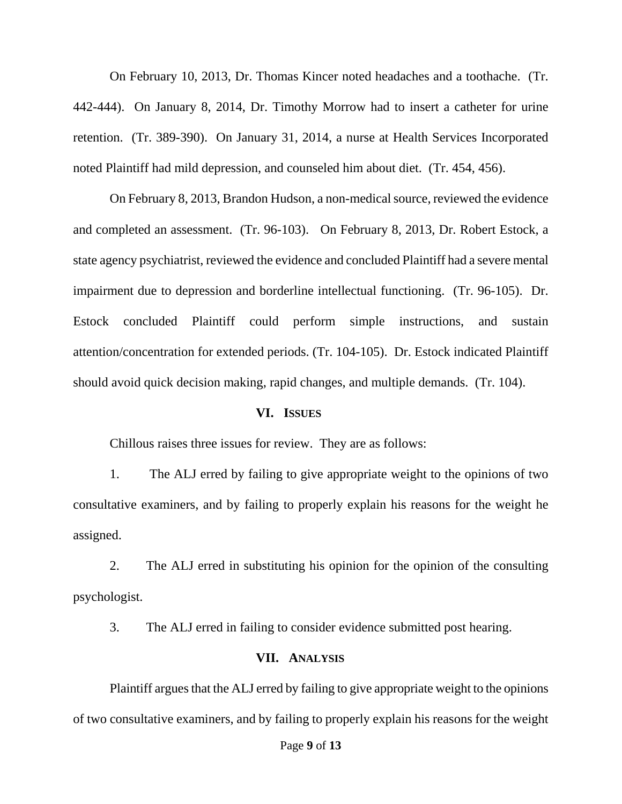On February 10, 2013, Dr. Thomas Kincer noted headaches and a toothache. (Tr. 442-444). On January 8, 2014, Dr. Timothy Morrow had to insert a catheter for urine retention. (Tr. 389-390). On January 31, 2014, a nurse at Health Services Incorporated noted Plaintiff had mild depression, and counseled him about diet. (Tr. 454, 456).

 On February 8, 2013, Brandon Hudson, a non-medical source, reviewed the evidence and completed an assessment. (Tr. 96-103). On February 8, 2013, Dr. Robert Estock, a state agency psychiatrist, reviewed the evidence and concluded Plaintiff had a severe mental impairment due to depression and borderline intellectual functioning. (Tr. 96-105). Dr. Estock concluded Plaintiff could perform simple instructions, and sustain attention/concentration for extended periods. (Tr. 104-105). Dr. Estock indicated Plaintiff should avoid quick decision making, rapid changes, and multiple demands. (Tr. 104).

### **VI. ISSUES**

Chillous raises three issues for review. They are as follows:

1. The ALJ erred by failing to give appropriate weight to the opinions of two consultative examiners, and by failing to properly explain his reasons for the weight he assigned.

2. The ALJ erred in substituting his opinion for the opinion of the consulting psychologist.

3. The ALJ erred in failing to consider evidence submitted post hearing.

### **VII. ANALYSIS**

Plaintiff argues that the ALJ erred by failing to give appropriate weight to the opinions of two consultative examiners, and by failing to properly explain his reasons for the weight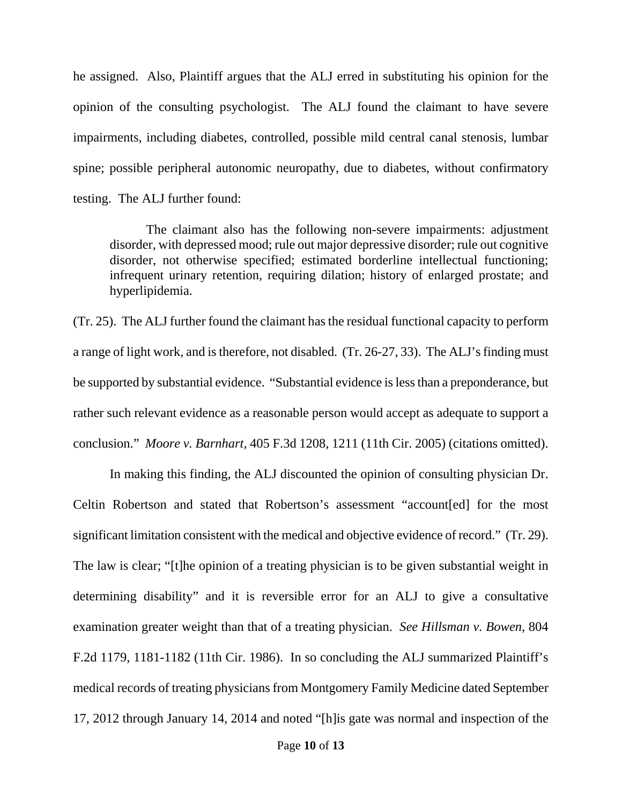he assigned. Also, Plaintiff argues that the ALJ erred in substituting his opinion for the opinion of the consulting psychologist. The ALJ found the claimant to have severe impairments, including diabetes, controlled, possible mild central canal stenosis, lumbar spine; possible peripheral autonomic neuropathy, due to diabetes, without confirmatory testing. The ALJ further found:

The claimant also has the following non-severe impairments: adjustment disorder, with depressed mood; rule out major depressive disorder; rule out cognitive disorder, not otherwise specified; estimated borderline intellectual functioning; infrequent urinary retention, requiring dilation; history of enlarged prostate; and hyperlipidemia.

(Tr. 25). The ALJ further found the claimant has the residual functional capacity to perform a range of light work, and is therefore, not disabled. (Tr. 26-27, 33). The ALJ's finding must be supported by substantial evidence. "Substantial evidence is less than a preponderance, but rather such relevant evidence as a reasonable person would accept as adequate to support a conclusion." *Moore v. Barnhart,* 405 F.3d 1208, 1211 (11th Cir. 2005) (citations omitted).

 In making this finding, the ALJ discounted the opinion of consulting physician Dr. Celtin Robertson and stated that Robertson's assessment "account[ed] for the most significant limitation consistent with the medical and objective evidence of record." (Tr. 29). The law is clear; "[t]he opinion of a treating physician is to be given substantial weight in determining disability" and it is reversible error for an ALJ to give a consultative examination greater weight than that of a treating physician. *See Hillsman v. Bowen*, 804 F.2d 1179, 1181-1182 (11th Cir. 1986). In so concluding the ALJ summarized Plaintiff's medical records of treating physicians from Montgomery Family Medicine dated September 17, 2012 through January 14, 2014 and noted "[h]is gate was normal and inspection of the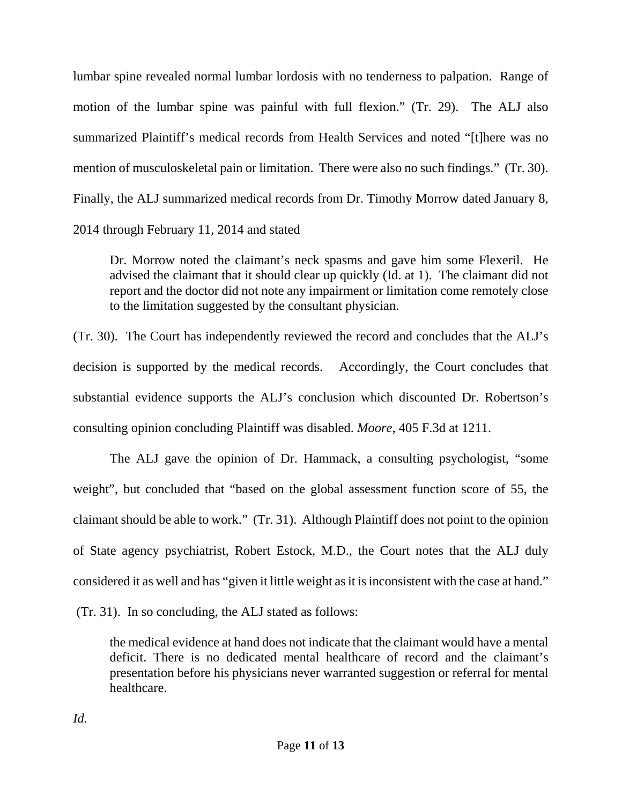lumbar spine revealed normal lumbar lordosis with no tenderness to palpation. Range of motion of the lumbar spine was painful with full flexion." (Tr. 29). The ALJ also summarized Plaintiff's medical records from Health Services and noted "[t]here was no mention of musculoskeletal pain or limitation. There were also no such findings." (Tr. 30). Finally, the ALJ summarized medical records from Dr. Timothy Morrow dated January 8, 2014 through February 11, 2014 and stated

Dr. Morrow noted the claimant's neck spasms and gave him some Flexeril. He advised the claimant that it should clear up quickly (Id. at 1). The claimant did not report and the doctor did not note any impairment or limitation come remotely close to the limitation suggested by the consultant physician.

(Tr. 30). The Court has independently reviewed the record and concludes that the ALJ's decision is supported by the medical records. Accordingly, the Court concludes that substantial evidence supports the ALJ's conclusion which discounted Dr. Robertson's consulting opinion concluding Plaintiff was disabled. *Moore,* 405 F.3d at 1211.

 The ALJ gave the opinion of Dr. Hammack, a consulting psychologist, "some weight", but concluded that "based on the global assessment function score of 55, the claimant should be able to work." (Tr. 31). Although Plaintiff does not point to the opinion of State agency psychiatrist, Robert Estock, M.D., the Court notes that the ALJ duly considered it as well and has "given it little weight as it is inconsistent with the case at hand."

(Tr. 31). In so concluding, the ALJ stated as follows:

the medical evidence at hand does not indicate that the claimant would have a mental deficit. There is no dedicated mental healthcare of record and the claimant's presentation before his physicians never warranted suggestion or referral for mental healthcare.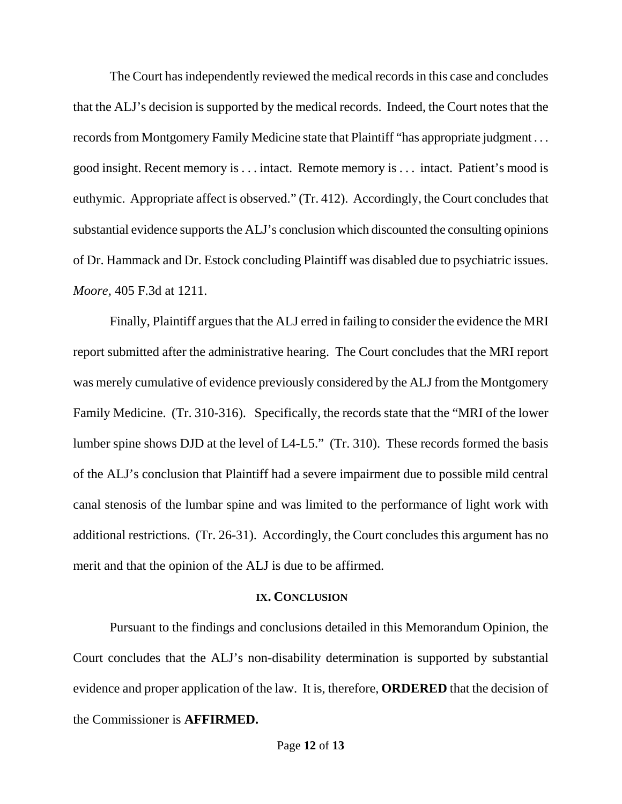The Court has independently reviewed the medical records in this case and concludes that the ALJ's decision is supported by the medical records. Indeed, the Court notes that the records from Montgomery Family Medicine state that Plaintiff "has appropriate judgment . . . good insight. Recent memory is . . . intact. Remote memory is . . . intact. Patient's mood is euthymic. Appropriate affect is observed." (Tr. 412). Accordingly, the Court concludes that substantial evidence supports the ALJ's conclusion which discounted the consulting opinions of Dr. Hammack and Dr. Estock concluding Plaintiff was disabled due to psychiatric issues. *Moore,* 405 F.3d at 1211.

 Finally, Plaintiff argues that the ALJ erred in failing to consider the evidence the MRI report submitted after the administrative hearing. The Court concludes that the MRI report was merely cumulative of evidence previously considered by the ALJ from the Montgomery Family Medicine. (Tr. 310-316). Specifically, the records state that the "MRI of the lower lumber spine shows DJD at the level of L4-L5." (Tr. 310). These records formed the basis of the ALJ's conclusion that Plaintiff had a severe impairment due to possible mild central canal stenosis of the lumbar spine and was limited to the performance of light work with additional restrictions. (Tr. 26-31). Accordingly, the Court concludes this argument has no merit and that the opinion of the ALJ is due to be affirmed.

#### **IX. CONCLUSION**

Pursuant to the findings and conclusions detailed in this Memorandum Opinion, the Court concludes that the ALJ's non-disability determination is supported by substantial evidence and proper application of the law. It is, therefore, **ORDERED** that the decision of the Commissioner is **AFFIRMED.**